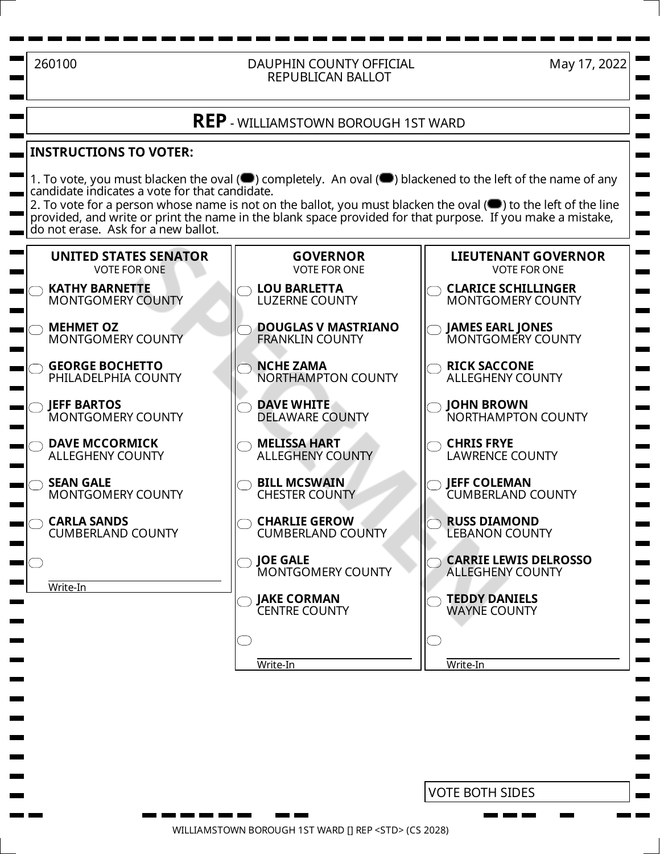## 260100 DAUPHIN COUNTY OFFICIAL REPUBLICAN BALLOT

May 17, 2022

## **REP** - WILLIAMSTOWN BOROUGH 1ST WARD

## **INSTRUCTIONS TO VOTER:**

1. To vote, you must blacken the oval (●) completely. An oval (●) blackened to the left of the name of any candidate indicates a vote for that candidate.

2. To vote for a person whose name is not on the ballot, you must blacken the oval  $(\bullet)$  to the left of the line provided, and write or print the name in the blank space provided for that purpose. If you make a mistake, do not erase. Ask for a new ballot.